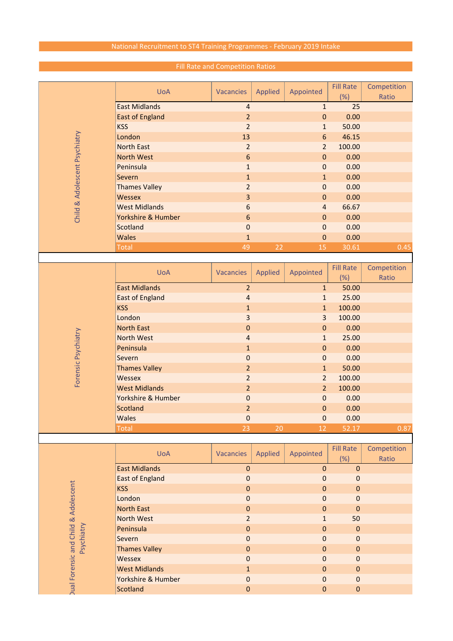## National Recruitment to ST4 Training Programmes - February 2019 Intake

|                                                               |                        |                         |         |                | <b>Fill Rate</b> | Competition |
|---------------------------------------------------------------|------------------------|-------------------------|---------|----------------|------------------|-------------|
|                                                               | <b>UoA</b>             | <b>Vacancies</b>        | Applied | Appointed      | (%)              | Ratio       |
|                                                               | <b>East Midlands</b>   | 4                       |         | $\mathbf{1}$   | 25               |             |
|                                                               | <b>East of England</b> | $\overline{2}$          |         | $\mathbf 0$    | 0.00             |             |
|                                                               | <b>KSS</b>             | $\overline{2}$          |         | $\mathbf{1}$   | 50.00            |             |
|                                                               | London                 | 13                      |         | $6\,$          | 46.15            |             |
|                                                               | <b>North East</b>      | $\overline{2}$          |         | $\overline{2}$ | 100.00           |             |
|                                                               | North West             | 6                       |         | $\mathbf 0$    | 0.00             |             |
|                                                               | Peninsula              |                         |         | $\mathbf 0$    | 0.00             |             |
|                                                               | Severn                 | $\mathbf{1}$            |         |                |                  |             |
| Child & Adolescent Psychiatry                                 |                        | $\mathbf{1}$            |         | $\mathbf{1}$   | 0.00             |             |
|                                                               | <b>Thames Valley</b>   | $\overline{2}$          |         | $\pmb{0}$      | 0.00             |             |
|                                                               | <b>Wessex</b>          | 3                       |         | $\pmb{0}$      | 0.00             |             |
|                                                               | <b>West Midlands</b>   | 6                       |         | $\overline{4}$ | 66.67            |             |
|                                                               | Yorkshire & Humber     | 6                       |         | $\mathbf 0$    | 0.00             |             |
|                                                               | Scotland               | $\mathbf 0$             |         | $\pmb{0}$      | 0.00             |             |
|                                                               | <b>Wales</b>           | $\mathbf{1}$            |         | $\pmb{0}$      | 0.00             |             |
|                                                               | <b>Total</b>           | 49                      | 22      | 15             | 30.61            | 0.45        |
|                                                               |                        |                         |         |                |                  |             |
|                                                               | <b>UoA</b>             | <b>Vacancies</b>        | Applied | Appointed      | <b>Fill Rate</b> | Competition |
|                                                               |                        |                         |         |                | (%)              | Ratio       |
|                                                               | <b>East Midlands</b>   | $\overline{2}$          |         | $\mathbf{1}$   | 50.00            |             |
|                                                               | <b>East of England</b> | $\overline{\mathbf{r}}$ |         | $\mathbf{1}$   | 25.00            |             |
|                                                               | <b>KSS</b>             | $\mathbf{1}$            |         | $\mathbf{1}$   | 100.00           |             |
|                                                               | London                 | 3                       |         | 3              | 100.00           |             |
|                                                               | <b>North East</b>      | $\pmb{0}$               |         | $\pmb{0}$      | 0.00             |             |
|                                                               | <b>North West</b>      | 4                       |         | $\mathbf{1}$   | 25.00            |             |
|                                                               | Peninsula              | $\mathbf{1}$            |         | $\mathbf 0$    | 0.00             |             |
|                                                               | Severn                 | $\pmb{0}$               |         | $\mathbf 0$    | 0.00             |             |
|                                                               | <b>Thames Valley</b>   | $\overline{2}$          |         | $\mathbf{1}$   | 50.00            |             |
| Forensic Psychiatry                                           | Wessex                 | $\overline{2}$          |         | $\overline{2}$ | 100.00           |             |
|                                                               | <b>West Midlands</b>   | $\overline{2}$          |         | $\overline{2}$ | 100.00           |             |
|                                                               | Yorkshire & Humber     | $\mathbf 0$             |         | $\pmb{0}$      | 0.00             |             |
|                                                               | Scotland               | $\overline{2}$          |         | $\pmb{0}$      | 0.00             |             |
|                                                               | <b>Wales</b>           | $\pmb{0}$               |         | $\pmb{0}$      | 0.00             |             |
|                                                               | Total                  | 23                      | 20      | 12             | 52.17            | 0.87        |
|                                                               |                        |                         |         |                |                  |             |
|                                                               |                        |                         |         |                | <b>Fill Rate</b> | Competition |
|                                                               | <b>UoA</b>             | <b>Vacancies</b>        | Applied | Appointed      | (%)              | Ratio       |
| <b>Dual Forensic and Child &amp; Adolescent</b><br>Psychiatry | <b>East Midlands</b>   | $\pmb{0}$               |         | $\mathbf 0$    | $\pmb{0}$        |             |
|                                                               | <b>East of England</b> | $\mathbf 0$             |         | $\pmb{0}$      | $\mathbf 0$      |             |
|                                                               | <b>KSS</b>             | $\mathbf 0$             |         | $\mathbf 0$    | $\mathbf 0$      |             |
|                                                               | London                 | $\mathbf 0$             |         | $\mathbf 0$    | 0                |             |
|                                                               | <b>North East</b>      | $\pmb{0}$               |         | $\pmb{0}$      | $\mathbf 0$      |             |
|                                                               | North West             | $\overline{2}$          |         | $\mathbf{1}$   | 50               |             |
|                                                               | Peninsula              | $\pmb{0}$               |         | $\pmb{0}$      | $\mathbf 0$      |             |
|                                                               | Severn                 | $\mathbf 0$             |         | $\mathbf 0$    | $\mathbf 0$      |             |
|                                                               | <b>Thames Valley</b>   | $\pmb{0}$               |         | $\mathbf 0$    | $\mathbf 0$      |             |
|                                                               | Wessex                 | $\pmb{0}$               |         | $\pmb{0}$      | $\pmb{0}$        |             |
|                                                               | <b>West Midlands</b>   | $\mathbf{1}$            |         | $\pmb{0}$      | $\mathbf 0$      |             |
|                                                               | Yorkshire & Humber     | $\mathbf 0$             |         | $\pmb{0}$      | $\mathbf 0$      |             |
|                                                               | Scotland               | $\pmb{0}$               |         | $\pmb{0}$      | $\pmb{0}$        |             |
|                                                               |                        |                         |         |                |                  |             |

## Fill Rate and Competition Ratios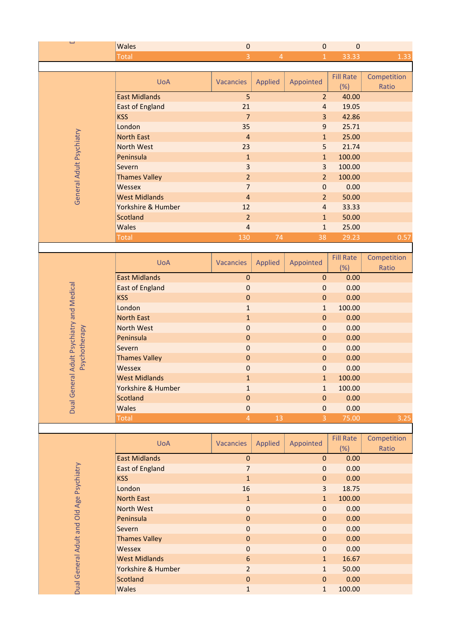| L<br><b>Wales</b><br>$\pmb{0}$<br>$\pmb{0}$<br>$\mathbf 0$                                                                           |      |
|--------------------------------------------------------------------------------------------------------------------------------------|------|
| $\overline{3}$<br>$\overline{4}$<br>$\overline{1}$<br>33.33<br><b>Total</b>                                                          | 1.33 |
| <b>Fill Rate</b><br>Competition                                                                                                      |      |
| <b>UoA</b><br><b>Vacancies</b><br>Appointed<br><b>Applied</b><br>(%)<br>Ratio                                                        |      |
| <b>East Midlands</b><br>5<br>$\overline{2}$<br>40.00<br>21<br>19.05<br>$\overline{4}$                                                |      |
| <b>East of England</b><br><b>KSS</b><br>$\overline{7}$<br>3<br>42.86                                                                 |      |
| London<br>35<br>25.71<br>$9$                                                                                                         |      |
| <b>North East</b><br>$\mathbf{1}$<br>25.00<br>$\overline{4}$                                                                         |      |
| General Adult Psychiatry<br><b>North West</b><br>5<br>23<br>21.74                                                                    |      |
| Peninsula<br>100.00<br>$\mathbf{1}$<br>$\mathbf{1}$                                                                                  |      |
| $\overline{\mathbf{3}}$<br>3<br>100.00<br>Severn                                                                                     |      |
| $\overline{2}$<br>100.00<br><b>Thames Valley</b><br>$\overline{2}$                                                                   |      |
| $\overline{7}$<br>Wessex<br>$\pmb{0}$<br>0.00                                                                                        |      |
| <b>West Midlands</b><br>$\overline{2}$<br>50.00<br>$\overline{4}$<br>Yorkshire & Humber<br>12<br>33.33<br>$\overline{4}$             |      |
| <b>Scotland</b><br>$\overline{2}$<br>50.00<br>$\mathbf{1}$                                                                           |      |
| <b>Wales</b><br>$\overline{4}$<br>25.00<br>$\mathbf{1}$                                                                              |      |
|                                                                                                                                      |      |
| 130<br>74<br>38<br>29.23<br><b>Total</b>                                                                                             | 0.57 |
|                                                                                                                                      |      |
| <b>Fill Rate</b><br>Competition<br><b>UoA</b><br>Applied<br>Appointed<br>Vacancies                                                   |      |
| (%)<br>Ratio                                                                                                                         |      |
| <b>East Midlands</b><br>$\pmb{0}$<br>0.00<br>$\pmb{0}$                                                                               |      |
| $\mathbf 0$<br>0.00<br><b>East of England</b><br>$\bf 0$<br>$\mathbf 0$                                                              |      |
| 0.00<br><b>KSS</b><br>$\mathbf 0$<br>London<br>100.00<br>$\mathbf{1}$<br>$\mathbf{1}$                                                |      |
| <b>North East</b><br>0.00<br>$\mathbf 1$<br>$\pmb{0}$                                                                                |      |
| <b>North West</b><br>$\mathbf 0$<br>0.00<br>$\mathbf 0$                                                                              |      |
| Peninsula<br>$\mathbf 0$<br>0.00<br>$\mathbf 0$                                                                                      |      |
| 0.00<br>Severn<br>$\mathbf 0$<br>$\mathbf 0$                                                                                         |      |
| 0.00<br><b>Thames Valley</b><br>$\bf 0$<br>$\pmb{0}$                                                                                 |      |
| Psychotherapy<br>0.00<br>Wessex<br>$\mathbf 0$<br>$\mathbf 0$                                                                        |      |
| <b>West Midlands</b><br>100.00<br>$\mathbf{1}$<br>$\mathbf{1}$                                                                       |      |
| Yorkshire & Humber<br>100.00<br>$\mathbf{1}$<br>$\mathbf{1}$                                                                         |      |
| Scotland<br>$\mathbf 0$<br>0.00<br>$\mathbf 0$<br><b>Wales</b><br>0.00<br>$\mathbf 0$<br>$\pmb{0}$                                   |      |
| Dual General Adult Psychiatry and Medical<br>$\overline{3}$<br>$\overline{4}$<br>13<br>75.00<br><b>Total</b>                         | 3.25 |
|                                                                                                                                      |      |
| <b>Fill Rate</b><br>Competition<br><b>UoA</b><br>Applied<br>Appointed<br><b>Vacancies</b>                                            |      |
| (%)<br>Ratio                                                                                                                         |      |
| <b>East Midlands</b><br>$\pmb{0}$<br>0.00<br>$\pmb{0}$                                                                               |      |
| $\overline{7}$<br><b>East of England</b><br>$\bf 0$<br>0.00                                                                          |      |
| <b>KSS</b><br>$\mathbf{1}$<br>0.00<br>$\bf 0$<br>London<br>16<br>3<br>18.75                                                          |      |
| 100.00<br><b>North East</b><br>$\mathbf{1}$<br>$\mathbf{1}$                                                                          |      |
| North West<br>$\pmb{0}$<br>0.00<br>$\mathbf 0$                                                                                       |      |
| Peninsula<br>$\bf 0$<br>$\mathbf 0$<br>0.00                                                                                          |      |
| 0.00<br>Severn<br>$\mathbf 0$<br>$\mathbf 0$                                                                                         |      |
| <b>Thames Valley</b><br>$\pmb{0}$<br>0.00<br>$\bf 0$                                                                                 |      |
| Adult and Old Age Psychiatry<br>0.00<br>$\mathbf 0$<br>Wessex<br>$\mathbf 0$                                                         |      |
| <b>West Midlands</b><br>6<br>1<br>16.67                                                                                              |      |
| <b>Dual General</b><br>Yorkshire & Humber<br>$\overline{2}$<br>50.00<br>$\mathbf{1}$<br>Scotland<br>$\pmb{0}$<br>0.00<br>$\mathbf 0$ |      |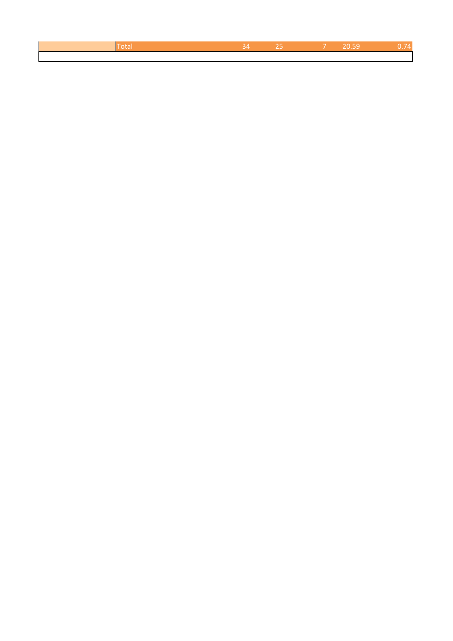| uar |  | 20 59 |  |
|-----|--|-------|--|
|     |  |       |  |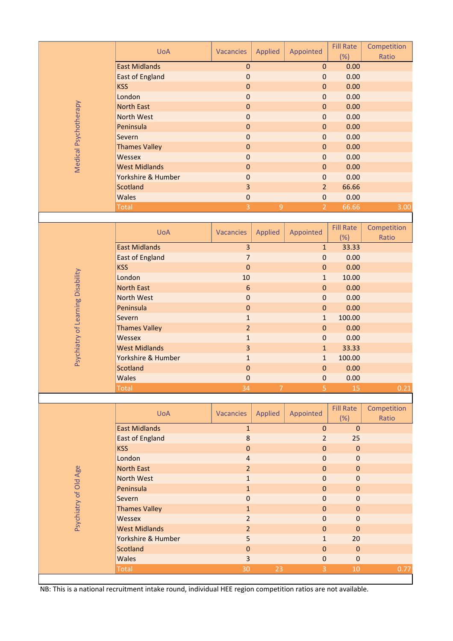|                               | <b>UoA</b>                                                                                                   | <b>Vacancies</b> | <b>Applied</b> | Appointed      | <b>Fill Rate</b><br>(%) | Competition<br>Ratio |
|-------------------------------|--------------------------------------------------------------------------------------------------------------|------------------|----------------|----------------|-------------------------|----------------------|
|                               | <b>East Midlands</b>                                                                                         | $\mathbf 0$      |                | $\pmb{0}$      | 0.00                    |                      |
|                               | <b>East of England</b>                                                                                       | $\mathbf 0$      |                | $\mathbf 0$    | 0.00                    |                      |
|                               | <b>KSS</b>                                                                                                   | $\mathbf 0$      |                | $\mathbf{0}$   | 0.00                    |                      |
|                               | London                                                                                                       | $\mathbf 0$      |                | $\mathbf 0$    | 0.00                    |                      |
|                               | <b>North East</b>                                                                                            | $\mathbf 0$      |                | $\pmb{0}$      | 0.00                    |                      |
|                               | <b>North West</b>                                                                                            | $\mathbf 0$      |                | $\mathbf 0$    | 0.00                    |                      |
|                               | Peninsula                                                                                                    | $\mathbf 0$      |                | $\pmb{0}$      | 0.00                    |                      |
| Medical Psychotherapy         | Severn                                                                                                       | $\mathbf 0$      |                | $\mathbf 0$    | 0.00                    |                      |
|                               | <b>Thames Valley</b>                                                                                         | $\mathbf 0$      |                | 0              | 0.00                    |                      |
|                               | <b>Wessex</b>                                                                                                | $\mathbf 0$      |                | $\mathbf 0$    | 0.00                    |                      |
|                               | <b>West Midlands</b>                                                                                         | $\mathbf 0$      |                | $\mathbf 0$    | 0.00                    |                      |
|                               | Yorkshire & Humber                                                                                           | $\pmb{0}$        |                | $\mathbf 0$    | 0.00                    |                      |
|                               | Scotland                                                                                                     | 3                |                | $\overline{2}$ | 66.66                   |                      |
|                               | <b>Wales</b>                                                                                                 | $\mathbf 0$      |                | $\mathbf 0$    | 0.00                    |                      |
|                               | <b>Total</b>                                                                                                 | 3                | 9              | $\overline{2}$ | 66.66                   | 3.00                 |
|                               |                                                                                                              |                  |                |                |                         |                      |
|                               |                                                                                                              |                  |                |                | <b>Fill Rate</b>        | Competition          |
|                               | <b>UoA</b>                                                                                                   | <b>Vacancies</b> | <b>Applied</b> | Appointed      |                         | Ratio                |
|                               | <b>East Midlands</b>                                                                                         | 3                |                | $\mathbf{1}$   | (%)<br>33.33            |                      |
|                               |                                                                                                              |                  |                |                |                         |                      |
|                               | <b>East of England</b><br><b>KSS</b>                                                                         | $\overline{7}$   |                | $\mathbf 0$    | 0.00                    |                      |
|                               |                                                                                                              | $\mathbf 0$      |                | $\pmb{0}$      | 0.00                    |                      |
|                               | London                                                                                                       | 10               |                | $\mathbf{1}$   | 10.00                   |                      |
|                               | <b>North East</b>                                                                                            | $6\phantom{1}6$  |                | $\mathbf 0$    | 0.00                    |                      |
|                               | <b>North West</b>                                                                                            | $\mathbf 0$      |                | $\mathbf 0$    | 0.00                    |                      |
| hiatry of Learning Disability | Peninsula                                                                                                    | $\pmb{0}$        |                | $\pmb{0}$      | 0.00                    |                      |
|                               | Severn                                                                                                       | $\mathbf{1}$     |                | $\mathbf{1}$   | 100.00                  |                      |
|                               | <b>Thames Valley</b>                                                                                         | $\overline{2}$   |                | $\mathbf 0$    | 0.00                    |                      |
|                               | <b>Wessex</b>                                                                                                | $\mathbf{1}$     |                | $\mathbf 0$    | 0.00                    |                      |
|                               | <b>West Midlands</b>                                                                                         | 3                |                | $\mathbf{1}$   | 33.33                   |                      |
| Psycl                         | Yorkshire & Humber                                                                                           | $\mathbf{1}$     |                | $\mathbf{1}$   | 100.00                  |                      |
|                               | Scotland                                                                                                     | $\mathbf 0$      |                | $\mathbf{0}$   | 0.00                    |                      |
|                               | <b>Wales</b>                                                                                                 | $\mathbf 0$      |                | 0              | 0.00                    |                      |
|                               | <b>Total</b>                                                                                                 | 34               | $\overline{7}$ | 5              | 15                      | 0.21                 |
|                               |                                                                                                              |                  |                |                |                         |                      |
|                               | <b>UoA</b>                                                                                                   | <b>Vacancies</b> | Applied        | Appointed      | <b>Fill Rate</b>        | Competition          |
|                               |                                                                                                              |                  |                |                | (%)                     | Ratio                |
|                               | <b>East Midlands</b>                                                                                         | $\mathbf{1}$     |                | $\mathbf 0$    | $\mathbf{0}$            |                      |
|                               | <b>East of England</b>                                                                                       | $\bf 8$          |                | $\overline{2}$ | 25                      |                      |
|                               | <b>KSS</b>                                                                                                   | $\mathbf 0$      |                | $\mathbf 0$    | $\mathbf 0$             |                      |
|                               | London                                                                                                       | 4                |                | 0              | $\mathbf 0$             |                      |
|                               | <b>North East</b>                                                                                            | $\overline{2}$   |                | 0              | 0                       |                      |
| Psychiatry of Old Age         | <b>North West</b>                                                                                            | $\mathbf{1}$     |                | 0              | 0                       |                      |
|                               | Peninsula                                                                                                    | $\mathbf{1}$     |                | 0              | 0                       |                      |
|                               | Severn                                                                                                       | $\mathbf 0$      |                | $\mathbf 0$    | 0                       |                      |
|                               | <b>Thames Valley</b>                                                                                         | $\mathbf{1}$     |                | 0              | 0                       |                      |
|                               | <b>Wessex</b>                                                                                                | $\overline{2}$   |                | 0              | $\mathbf 0$             |                      |
|                               | <b>West Midlands</b>                                                                                         | $\overline{a}$   |                | 0              | $\mathbf 0$             |                      |
|                               | Yorkshire & Humber                                                                                           | 5                |                | 1              | 20                      |                      |
|                               | <b>Scotland</b>                                                                                              | $\pmb{0}$        |                | $\pmb{0}$      | $\mathbf 0$             |                      |
|                               | <b>Wales</b>                                                                                                 | 3                |                | 0              | $\mathbf 0$             |                      |
|                               | <b>Total</b>                                                                                                 | 30               | 23             | 3              | 10                      | 0.77                 |
|                               |                                                                                                              |                  |                |                |                         |                      |
|                               | NB: This is a national recruitment intake round, individual HEE region competition ratios are not available. |                  |                |                |                         |                      |